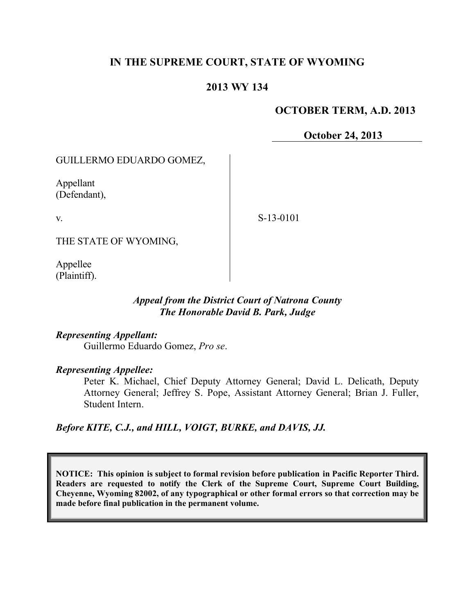## **IN THE SUPREME COURT, STATE OF WYOMING**

## **2013 WY 134**

## **OCTOBER TERM, A.D. 2013**

**October 24, 2013**

## GUILLERMO EDUARDO GOMEZ,

Appellant (Defendant),

v.

S-13-0101

THE STATE OF WYOMING,

Appellee (Plaintiff).

### *Appeal from the District Court of Natrona County The Honorable David B. Park, Judge*

### *Representing Appellant:*

Guillermo Eduardo Gomez, *Pro se*.

### *Representing Appellee:*

Peter K. Michael, Chief Deputy Attorney General; David L. Delicath, Deputy Attorney General; Jeffrey S. Pope, Assistant Attorney General; Brian J. Fuller, Student Intern.

*Before KITE, C.J., and HILL, VOIGT, BURKE, and DAVIS, JJ.*

**NOTICE: This opinion is subject to formal revision before publication in Pacific Reporter Third. Readers are requested to notify the Clerk of the Supreme Court, Supreme Court Building, Cheyenne, Wyoming 82002, of any typographical or other formal errors so that correction may be made before final publication in the permanent volume.**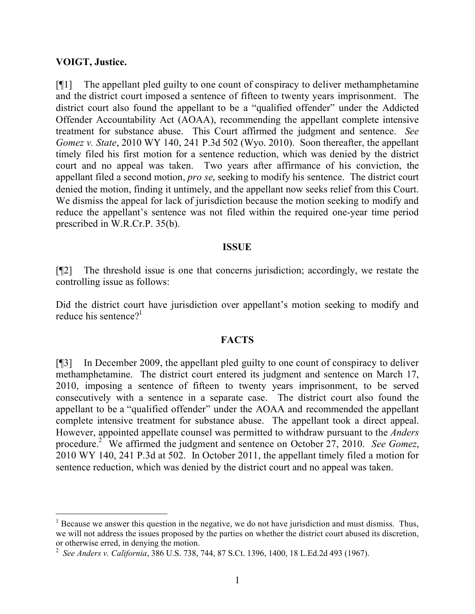### **VOIGT, Justice.**

[¶1] The appellant pled guilty to one count of conspiracy to deliver methamphetamine and the district court imposed a sentence of fifteen to twenty years imprisonment. The district court also found the appellant to be a "qualified offender" under the Addicted Offender Accountability Act (AOAA), recommending the appellant complete intensive treatment for substance abuse. This Court affirmed the judgment and sentence. *See Gomez v. State*, 2010 WY 140, 241 P.3d 502 (Wyo. 2010). Soon thereafter, the appellant timely filed his first motion for a sentence reduction, which was denied by the district court and no appeal was taken. Two years after affirmance of his conviction, the appellant filed a second motion, *pro se*, seeking to modify his sentence. The district court denied the motion, finding it untimely, and the appellant now seeks relief from this Court. We dismiss the appeal for lack of jurisdiction because the motion seeking to modify and reduce the appellant's sentence was not filed within the required one-year time period prescribed in W.R.Cr.P. 35(b).

#### **ISSUE**

[¶2] The threshold issue is one that concerns jurisdiction; accordingly, we restate the controlling issue as follows:

Did the district court have jurisdiction over appellant's motion seeking to modify and reduce his sentence? $1$ 

### **FACTS**

[¶3] In December 2009, the appellant pled guilty to one count of conspiracy to deliver methamphetamine. The district court entered its judgment and sentence on March 17, 2010, imposing a sentence of fifteen to twenty years imprisonment, to be served consecutively with a sentence in a separate case. The district court also found the appellant to be a "qualified offender" under the AOAA and recommended the appellant complete intensive treatment for substance abuse. The appellant took a direct appeal. However, appointed appellate counsel was permitted to withdraw pursuant to the *Anders* procedure.<sup>2</sup> We affirmed the judgment and sentence on October 27, 2010. *See Gomez*, 2010 WY 140, 241 P.3d at 502. In October 2011, the appellant timely filed a motion for sentence reduction, which was denied by the district court and no appeal was taken.

 $<sup>1</sup>$  Because we answer this question in the negative, we do not have jurisdiction and must dismiss. Thus,</sup> we will not address the issues proposed by the parties on whether the district court abused its discretion, or otherwise erred, in denying the motion.

<sup>2</sup> *See Anders v. California*, 386 U.S. 738, 744, 87 S.Ct. 1396, 1400, 18 L.Ed.2d 493 (1967).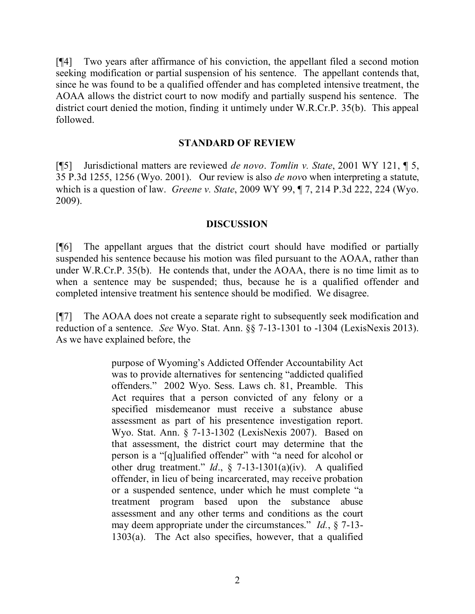[¶4] Two years after affirmance of his conviction, the appellant filed a second motion seeking modification or partial suspension of his sentence. The appellant contends that, since he was found to be a qualified offender and has completed intensive treatment, the AOAA allows the district court to now modify and partially suspend his sentence. The district court denied the motion, finding it untimely under W.R.Cr.P. 35(b). This appeal followed.

### **STANDARD OF REVIEW**

[¶5] Jurisdictional matters are reviewed *de novo*. *Tomlin v. State*, 2001 WY 121, ¶ 5, 35 P.3d 1255, 1256 (Wyo. 2001). Our review is also *de nov*o when interpreting a statute, which is a question of law. *Greene v. State*, 2009 WY 99, ¶ 7, 214 P.3d 222, 224 (Wyo. 2009).

### **DISCUSSION**

[¶6] The appellant argues that the district court should have modified or partially suspended his sentence because his motion was filed pursuant to the AOAA, rather than under W.R.Cr.P. 35(b). He contends that, under the AOAA, there is no time limit as to when a sentence may be suspended; thus, because he is a qualified offender and completed intensive treatment his sentence should be modified. We disagree.

[¶7] The AOAA does not create a separate right to subsequently seek modification and reduction of a sentence. *See* Wyo. Stat. Ann. §§ 7-13-1301 to -1304 (LexisNexis 2013). As we have explained before, the

> purpose of Wyoming's Addicted Offender Accountability Act was to provide alternatives for sentencing "addicted qualified offenders." 2002 Wyo. Sess. Laws ch. 81, Preamble. This Act requires that a person convicted of any felony or a specified misdemeanor must receive a substance abuse assessment as part of his presentence investigation report. Wyo. Stat. Ann. § 7-13-1302 (LexisNexis 2007). Based on that assessment, the district court may determine that the person is a "[q]ualified offender" with "a need for alcohol or other drug treatment." *Id*., § 7-13-1301(a)(iv). A qualified offender, in lieu of being incarcerated, may receive probation or a suspended sentence, under which he must complete "a treatment program based upon the substance abuse assessment and any other terms and conditions as the court may deem appropriate under the circumstances." *Id.*, § 7-13- 1303(a). The Act also specifies, however, that a qualified